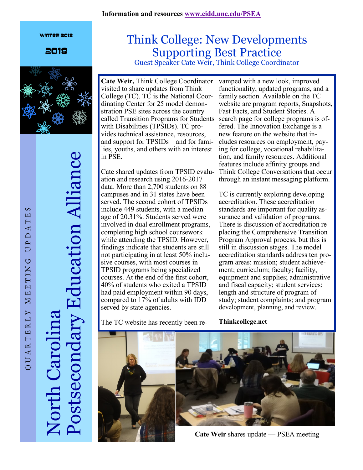#### **Information and resources [www.cidd.unc.edu/PSEA](http://www.cidd.unc.edu/PSEA)**

#### Winter 2018

2018



Postsecondary Education Alliance Education Alliance North Carolina stsec

### Think College: New Developments Supporting Best Practice Guest Speaker Cate Weir, Think College Coordinator

**Cate Weir,** Think College Coordinator visited to share updates from Think College (TC). TC is the National Coordinating Center for 25 model demonstration PSE sites across the country called Transition Programs for Students search page for college programs is ofwith Disabilities (TPSIDs). TC provides technical assistance, resources, and support for TPSIDs—and for families, youths, and others with an interest in PSE.

ation and research using 2016-2017 data. More than 2,700 students on 88 campuses and in 31 states have been served. The second cohort of TPSIDs include 449 students, with a median age of 20.31%. Students served were involved in dual enrollment programs, completing high school coursework while attending the TPSID. However, findings indicate that students are still not participating in at least 50% inclusive courses, with most courses in TPSID programs being specialized courses. At the end of the first cohort, 40% of students who exited a TPSID had paid employment within 90 days, compared to 17% of adults with IDD served by state agencies.

The TC website has recently been re-

Cate shared updates from TPSID evalu-Think College Conversations that occur vamped with a new look, improved functionality, updated programs, and a family section. Available on the TC website are program reports, Snapshots, Fast Facts, and Student Stories. A fered. The Innovation Exchange is a new feature on the website that includes resources on employment, paying for college, vocational rehabilitation, and family resources. Additional features include affinity groups and through an instant messaging platform.

> TC is currently exploring developing accreditation. These accreditation standards are important for quality assurance and validation of programs. There is discussion of accreditation replacing the Comprehensive Transition Program Approval process, but this is still in discussion stages. The model accreditation standards address ten program areas: mission; student achievement; curriculum; faculty; facility, equipment and supplies; administrative and fiscal capacity; student services; length and structure of program of study; student complaints; and program development, planning, and review.

**Thinkcollege.net** 



**Cate Weir** shares update — PSEA meeting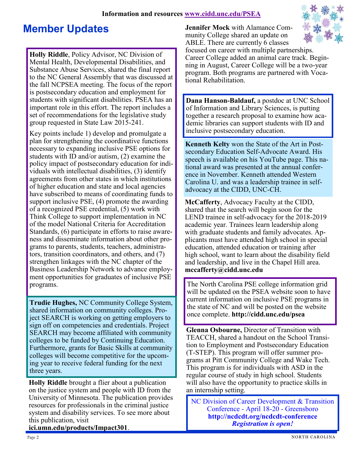### **Information and resources [www.cidd.unc.edu/PSEA](http://www.cidd.unc.edu/PSEA)**

## **Member Updates**

**Holly Riddle**, Policy Advisor, NC Division of Mental Health, Developmental Disabilities, and Substance Abuse Services, shared the final report to the NC General Assembly that was discussed at the fall NCPSEA meeting. The focus of the report is postsecondary education and employment for students with significant disabilities. PSEA has an important role in this effort. The report includes a set of recommendations for the legislative study group requested in State Law 2015-241.

Key points include 1) develop and promulgate a plan for strengthening the coordinative functions necessary to expanding inclusive PSE options for students with ID and/or autism, (2) examine the policy impact of postsecondary education for individuals with intellectual disabilities, (3) identify agreements from other states in which institutions of higher education and state and local agencies have subscribed to means of coordinating funds to support inclusive PSE, (4) promote the awarding of a recognized PSE credential, (5) work with Think College to support implementation in NC of the model National Criteria for Accreditation Standards, (6) participate in efforts to raise awareness and disseminate information about other programs to parents, students, teachers, administrators, transition coordinators, and others, and (7) strengthen linkages with the NC chapter of the Business Leadership Network to advance employment opportunities for graduates of inclusive PSE programs.

**Trudie Hughes,** NC Community College System, shared information on community colleges. Project SEARCH is working on getting employers to sign off on competencies and credentials. Project SEARCH may become affiliated with community colleges to be funded by Continuing Education. Furthermore, grants for Basic Skills at community colleges will become competitive for the upcoming year to receive federal funding for the next three years.

**Holly Riddle** brought a flier about a publication on the justice system and people with ID from the University of Minnesota. The publication provides resources for professionals in the criminal justice system and disability services. To see more about this publication, visit

**ici.umn.edu/products/Impact301**.

**Jennifer Mock** with Alamance Community College shared an update on ABLE. There are currently 6 classes



focused on career with multiple partnerships. Career College added an animal care track. Beginning in August, Career College will be a two-year program. Both programs are partnered with Vocational Rehabilitation.

**Dana Hanson-Baldauf,** a postdoc at UNC School of Information and Library Sciences, is putting together a research proposal to examine how academic libraries can support students with ID and inclusive postsecondary education.

**Kenneth Kelty** won the State of the Art in Postsecondary Education Self-Advocate Award. His speech is available on his YouTube page. This national award was presented at the annual conference in November. Kenneth attended Western Carolina U. and was a leadership trainee in selfadvocacy at the CIDD, UNC-CH.

**McCafferty**, Advocacy Faculty at the CIDD, shared that the search will begin soon for the LEND trainee in self-advocacy for the 2018-2019 academic year. Trainees learn leadership along with graduate students and family advocates. Applicants must have attended high school in special education, attended education or training after high school, want to learn about the disability field and leadership, and live in the Chapel Hill area. **mccafferty@cidd.unc.edu**

The North Carolina PSE college information grid will be updated on the PSEA website soon to have current information on inclusive PSE programs in the state of NC and will be posted on the website once complete. **http://cidd.unc.edu/psea**

**Glenna Osbourne,** Director of Transition with TEACCH, shared a handout on the School Transition to Employment and Postsecondary Education (T-STEP). This program will offer summer programs at Pitt Community College and Wake Tech. This program is for individuals with ASD in the regular course of study in high school. Students will also have the opportunity to practice skills in an internship setting.

NC Division of Career Development & Transition Conference - April 18-20 - Greensboro **http://ncdcdt.org/ncdcdt-conference**  *Registration is open!*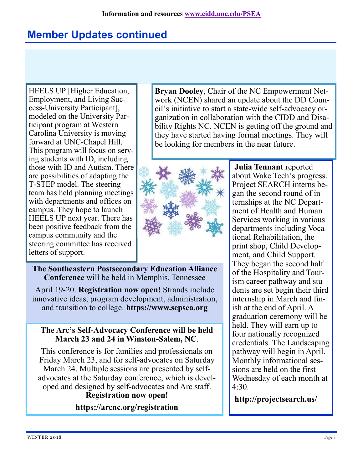# **Member Updates continued**

HEELS UP [Higher Education, Employment, and Living Success-University Participant], modeled on the University Participant program at Western Carolina University is moving forward at UNC-Chapel Hill. This program will focus on serving students with ID, including those with ID and Autism. There are possibilities of adapting the T-STEP model. The steering team has held planning meetings with departments and offices on campus. They hope to launch HEELS UP next year. There has been positive feedback from the campus community and the steering committee has received letters of support.

**Bryan Dooley**, Chair of the NC Empowerment Network (NCEN) shared an update about the DD Council's initiative to start a state-wide self-advocacy organization in collaboration with the CIDD and Disability Rights NC. NCEN is getting off the ground and they have started having formal meetings. They will be looking for members in the near future.



**The Southeastern Postsecondary Education Alliance Conference** will be held in Memphis, Tennessee

April 19-20. **Registration now open!** Strands include innovative ideas, program development, administration, and transition to college. **https://www.sepsea.org**

### **The Arc's Self-Advocacy Conference will be held March 23 and 24 in Winston-Salem, NC**.

This conference is for families and professionals on Friday March 23, and for self-advocates on Saturday March 24. Multiple sessions are presented by selfadvocates at the Saturday conference, which is developed and designed by self-advocates and Arc staff. **Registration now open!**

**https://arcnc.org/registration**

**Julia Tennant** reported about Wake Tech's progress. Project SEARCH interns began the second round of internships at the NC Department of Health and Human Services working in various departments including Vocational Rehabilitation, the print shop, Child Development, and Child Support. They began the second half of the Hospitality and Tourism career pathway and students are set begin their third internship in March and finish at the end of April. A graduation ceremony will be held. They will earn up to four nationally recognized credentials. The Landscaping pathway will begin in April. Monthly informational sessions are held on the first Wednesday of each month at  $4.30$ 

**http://projectsearch.us/**